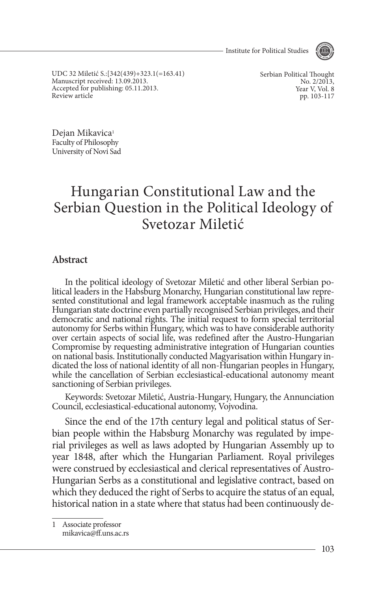- Institute for Political Studies



UDC 32 Miletić S.:[342(439)+323.1(=163.41) Manuscript received: 13.09.2013. Accepted for publishing: 05.11.2013. Review article

Serbian Political Thought No. 2/2013. Year V, Vol. 8 pp. 103-117

Dejan Mikavica<sup>1</sup> Faculty of Philosophy University of Novi Sad

# Hungarian Constitutional Law and the Serbian Question in the Political Ideology of Svetozar Miletić

### **Abstract**

In the political ideology of Svetozar Miletić and other liberal Serbian political leaders in the Habsburg Monarchy, Hungarian constitutional law represented constitutional and legal framework acceptable inasmuch as the rul Hungarian state doctrine even partially recognised Serbian privileges, and their democratic and national rights. The initial request to form special territorial autonomy for Serbs within Hungary, which was to have considerable authority over certain aspects of social life, was redefined after the Austro-Hungarian Compromise by requesting administrative integration of Hungarian counties<br>on national basis. Institutionally conducted Magyarisation within Hungary indicated the loss of national identity of all non-Hungarian peoples in Hungary, while the cancellation of Serbian ecclesiastical-educational autonomy meant sanctioning of Serbian privileges.

Keywords: Svetozar Miletić, Austria-Hungary, Hungary, the Annunciation Council, ecclesiastical-educational autonomy, Vojvodina.

Since the end of the 17th century legal and political status of Serbian people within the Habsburg Monarchy was regulated by imperial privileges as well as laws adopted by Hungarian Assembly up to year 1848, after which the Hungarian Parliament. Royal privileges were construed by ecclesiastical and clerical representatives of Austro-Hungarian Serbs as a constitutional and legislative contract, based on which they deduced the right of Serbs to acquire the status of an equal, historical nation in a state where that status had been continuously de-

1 Associate professor mikavica@ff.uns.ac.rs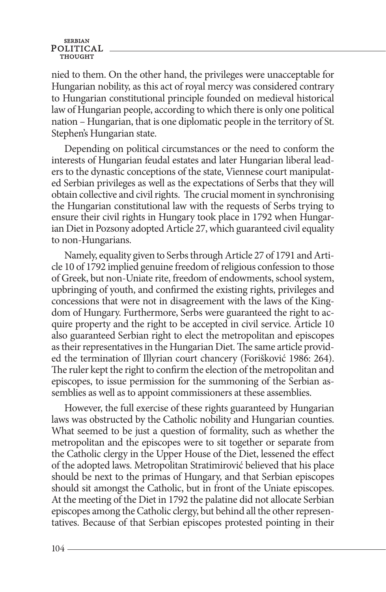nied to them. On the other hand, the privileges were unacceptable for Hungarian nobility, as this act of royal mercy was considered contrary to Hungarian constitutional principle founded on medieval historical law of Hungarian people, according to which there is only one political nation – Hungarian, that is one diplomatic people in the territory of St. Stephen's Hungarian state.

Depending on political circumstances or the need to conform the interests of Hungarian feudal estates and later Hungarian liberal leaders to the dynastic conceptions of the state, Viennese court manipulated Serbian privileges as well as the expectations of Serbs that they will obtain collective and civil rights. The crucial moment in synchronising the Hungarian constitutional law with the requests of Serbs trying to ensure their civil rights in Hungary took place in 1792 when Hungarian Diet in Pozsony adopted Article 27, which guaranteed civil equality to non-Hungarians.

Namely, equality given to Serbs through Article 27 of 1791 and Article 10 of 1792 implied genuine freedom of religious confession to those of Greek, but non-Uniate rite, freedom of endowments, school system, upbringing of youth, and confirmed the existing rights, privileges and concessions that were not in disagreement with the laws of the Kingdom of Hungary. Furthermore, Serbs were guaranteed the right to acquire property and the right to be accepted in civil service. Article 10 also guaranteed Serbian right to elect the metropolitan and episcopes as their representatives in the Hungarian Diet. The same article provided the termination of Illyrian court chancery (Forišković 1986: 264). The ruler kept the right to confirm the election of the metropolitan and episcopes, to issue permission for the summoning of the Serbian assemblies as well as to appoint commissioners at these assemblies.

However, the full exercise of these rights guaranteed by Hungarian laws was obstructed by the Catholic nobility and Hungarian counties. What seemed to be just a question of formality, such as whether the metropolitan and the episcopes were to sit together or separate from the Catholic clergy in the Upper House of the Diet, lessened the effect of the adopted laws. Metropolitan Stratimirović believed that his place should be next to the primas of Hungary, and that Serbian episcopes should sit amongst the Catholic, but in front of the Uniate episcopes. At the meeting of the Diet in 1792 the palatine did not allocate Serbian episcopes among the Catholic clergy, but behind all the other representatives. Because of that Serbian episcopes protested pointing in their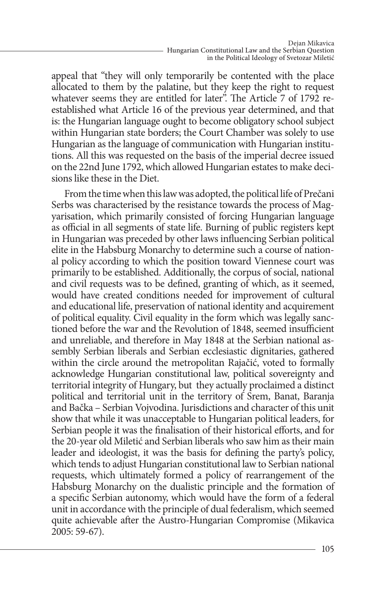appeal that "they will only temporarily be contented with the place allocated to them by the palatine, but they keep the right to request whatever seems they are entitled for later". The Article 7 of 1792 reestablished what Article 16 of the previous year determined, and that is: the Hungarian language ought to become obligatory school subject within Hungarian state borders; the Court Chamber was solely to use Hungarian as the language of communication with Hungarian institutions. All this was requested on the basis of the imperial decree issued on the 22nd June 1792, which allowed Hungarian estates to make decisions like these in the Diet.

From the time when this law was adopted, the political life of Prečani Serbs was characterised by the resistance towards the process of Magyarisation, which primarily consisted of forcing Hungarian language as official in all segments of state life. Burning of public registers kept in Hungarian was preceded by other laws influencing Serbian political elite in the Habsburg Monarchy to determine such a course of national policy according to which the position toward Viennese court was primarily to be established. Additionally, the corpus of social, national and civil requests was to be defined, granting of which, as it seemed, would have created conditions needed for improvement of cultural and educational life, preservation of national identity and acquirement of political equality. Civil equality in the form which was legally sanctioned before the war and the Revolution of 1848, seemed insufficient and unreliable, and therefore in May 1848 at the Serbian national assembly Serbian liberals and Serbian ecclesiastic dignitaries, gathered within the circle around the metropolitan Rajačić, voted to formally acknowledge Hungarian constitutional law, political sovereignty and territorial integrity of Hungary, but they actually proclaimed a distinct political and territorial unit in the territory of Srem, Banat, Baranja and Bačka – Serbian Vojvodina. Jurisdictions and character of this unit show that while it was unacceptable to Hungarian political leaders, for Serbian people it was the finalisation of their historical efforts, and for the 20-year old Miletić and Serbian liberals who saw him as their main leader and ideologist, it was the basis for defining the party's policy, which tends to adjust Hungarian constitutional law to Serbian national requests, which ultimately formed a policy of rearrangement of the Habsburg Monarchy on the dualistic principle and the formation of a specific Serbian autonomy, which would have the form of a federal unit in accordance with the principle of dual federalism, which seemed quite achievable after the Austro-Hungarian Compromise (Mikavica 2005: 59-67).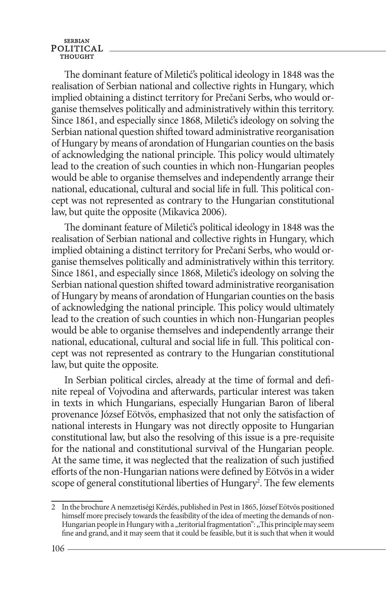The dominant feature of Miletić's political ideology in 1848 was the realisation of Serbian national and collective rights in Hungary, which implied obtaining a distinct territory for Prečani Serbs, who would organise themselves politically and administratively within this territory. Since 1861, and especially since 1868, Miletić's ideology on solving the Serbian national question shifted toward administrative reorganisation of Hungary by means of arondation of Hungarian counties on the basis of acknowledging the national principle. This policy would ultimately lead to the creation of such counties in which non-Hungarian peoples would be able to organise themselves and independently arrange their national, educational, cultural and social life in full. This political concept was not represented as contrary to the Hungarian constitutional law, but quite the opposite (Mikavica 2006).

The dominant feature of Miletić's political ideology in 1848 was the realisation of Serbian national and collective rights in Hungary, which implied obtaining a distinct territory for Prečani Serbs, who would organise themselves politically and administratively within this territory. Since 1861, and especially since 1868, Miletić's ideology on solving the Serbian national question shifted toward administrative reorganisation of Hungary by means of arondation of Hungarian counties on the basis of acknowledging the national principle. This policy would ultimately lead to the creation of such counties in which non-Hungarian peoples would be able to organise themselves and independently arrange their national, educational, cultural and social life in full. This political concept was not represented as contrary to the Hungarian constitutional law, but quite the opposite.

In Serbian political circles, already at the time of formal and definite repeal of Vojvodina and afterwards, particular interest was taken in texts in which Hungarians, especially Hungarian Baron of liberal provenance József Eötvös, emphasized that not only the satisfaction of national interests in Hungary was not directly opposite to Hungarian constitutional law, but also the resolving of this issue is a pre-requisite for the national and constitutional survival of the Hungarian people. At the same time, it was neglected that the realization of such justified efforts of the non-Hungarian nations were defined by Eötvös in a wider scope of general constitutional liberties of Hungary<sup>2</sup>. The few elements

<sup>2</sup> In the brochure A nemzetiségi Kérdés, published in Pest in 1865, József Eötvös positioned himself more precisely towards the feasibility of the idea of meeting the demands of non-Hungarian people in Hungary with a ,,teritorial fragmentation": ,,This principle may seem fine and grand, and it may seem that it could be feasible, but it is such that when it would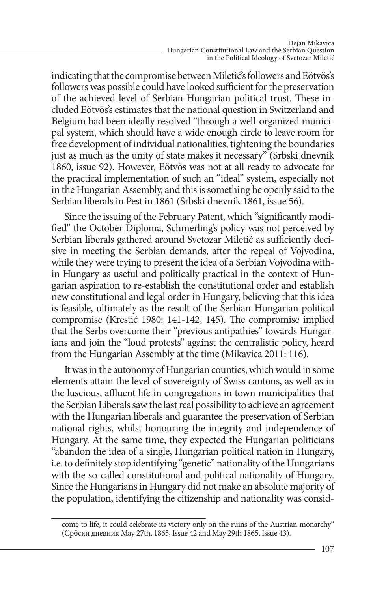indicating that the compromise between Miletić's followers and Eötvös's followers was possible could have looked sufficient for the preservation of the achieved level of Serbian-Hungarian political trust. These included Eötvös's estimates that the national question in Switzerland and Belgium had been ideally resolved "through a well-organized municipal system, which should have a wide enough circle to leave room for free development of individual nationalities, tightening the boundaries just as much as the unity of state makes it necessary" (Srbski dnevnik 1860, issue 92). However, Eötvös was not at all ready to advocate for the practical implementation of such an "ideal" system, especially not in the Hungarian Assembly, and this is something he openly said to the Serbian liberals in Pest in 1861 (Srbski dnevnik 1861, issue 56).

Since the issuing of the February Patent, which "significantly modified" the October Diploma, Schmerling's policy was not perceived by Serbian liberals gathered around Svetozar Miletić as sufficiently decisive in meeting the Serbian demands, after the repeal of Vojvodina, while they were trying to present the idea of a Serbian Vojvodina within Hungary as useful and politically practical in the context of Hungarian aspiration to re-establish the constitutional order and establish new constitutional and legal order in Hungary, believing that this idea is feasible, ultimately as the result of the Serbian-Hungarian political compromise (Krestić 1980: 141-142, 145). The compromise implied that the Serbs overcome their "previous antipathies" towards Hungarians and join the "loud protests" against the centralistic policy, heard from the Hungarian Assembly at the time (Mikavica 2011: 116).

It was in the autonomy of Hungarian counties, which would in some elements attain the level of sovereignty of Swiss cantons, as well as in the luscious, affluent life in congregations in town municipalities that the Serbian Liberals saw the last real possibility to achieve an agreement with the Hungarian liberals and guarantee the preservation of Serbian national rights, whilst honouring the integrity and independence of Hungary. At the same time, they expected the Hungarian politicians "abandon the idea of a single, Hungarian political nation in Hungary, i.e. to definitely stop identifying "genetic" nationality of the Hungarians with the so-called constitutional and political nationality of Hungary. Since the Hungarians in Hungary did not make an absolute majority of the population, identifying the citizenship and nationality was consid-

come to life, it could celebrate its victory only on the ruins of the Austrian monarchy" (Србски дневник May 27th, 1865, Issue 42 and May 29th 1865, Issue 43).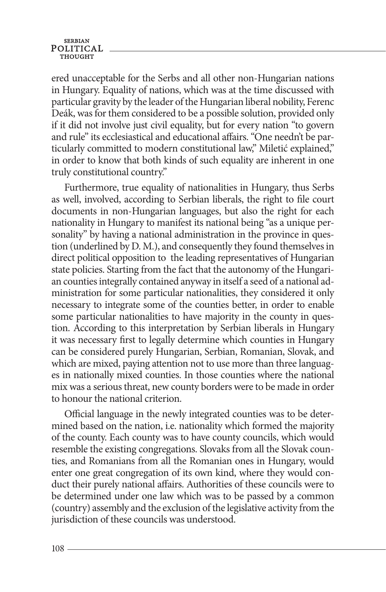ered unacceptable for the Serbs and all other non-Hungarian nations in Hungary. Equality of nations, which was at the time discussed with particular gravity by the leader of the Hungarian liberal nobility, Ferenc Deák, was for them considered to be a possible solution, provided only if it did not involve just civil equality, but for every nation "to govern and rule" its ecclesiastical and educational affairs. "One needn't be particularly committed to modern constitutional law," Miletić explained," in order to know that both kinds of such equality are inherent in one truly constitutional country."

Furthermore, true equality of nationalities in Hungary, thus Serbs as well, involved, according to Serbian liberals, the right to file court documents in non-Hungarian languages, but also the right for each nationality in Hungary to manifest its national being "as a unique personality" by having a national administration in the province in question (underlined by D. M.), and consequently they found themselves in direct political opposition to the leading representatives of Hungarian state policies. Starting from the fact that the autonomy of the Hungarian counties integrally contained anyway in itself a seed of a national administration for some particular nationalities, they considered it only necessary to integrate some of the counties better, in order to enable some particular nationalities to have majority in the county in question. According to this interpretation by Serbian liberals in Hungary it was necessary first to legally determine which counties in Hungary can be considered purely Hungarian, Serbian, Romanian, Slovak, and which are mixed, paying attention not to use more than three languages in nationally mixed counties. In those counties where the national mix was a serious threat, new county borders were to be made in order to honour the national criterion.

Official language in the newly integrated counties was to be determined based on the nation, i.e. nationality which formed the majority of the county. Each county was to have county councils, which would resemble the existing congregations. Slovaks from all the Slovak counties, and Romanians from all the Romanian ones in Hungary, would enter one great congregation of its own kind, where they would conduct their purely national affairs. Authorities of these councils were to be determined under one law which was to be passed by a common (country) assembly and the exclusion of the legislative activity from the jurisdiction of these councils was understood.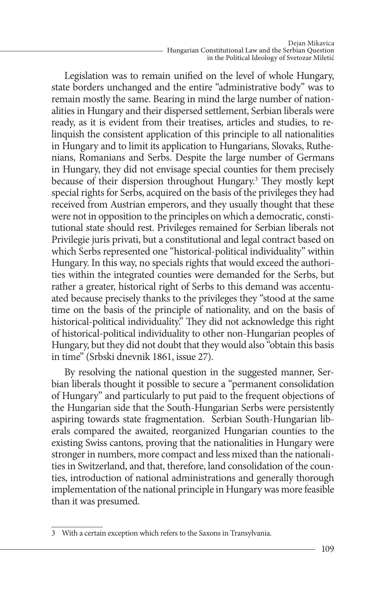Legislation was to remain unified on the level of whole Hungary, state borders unchanged and the entire "administrative body" was to remain mostly the same. Bearing in mind the large number of nationalities in Hungary and their dispersed settlement, Serbian liberals were ready, as it is evident from their treatises, articles and studies, to relinquish the consistent application of this principle to all nationalities in Hungary and to limit its application to Hungarians, Slovaks, Ruthenians, Romanians and Serbs. Despite the large number of Germans in Hungary, they did not envisage special counties for them precisely because of their dispersion throughout Hungary.<sup>3</sup> They mostly kept special rights for Serbs, acquired on the basis of the privileges they had received from Austrian emperors, and they usually thought that these were not in opposition to the principles on which a democratic, constitutional state should rest. Privileges remained for Serbian liberals not Privilegie juris privati, but a constitutional and legal contract based on which Serbs represented one "historical-political individuality" within Hungary. In this way, no specials rights that would exceed the authorities within the integrated counties were demanded for the Serbs, but rather a greater, historical right of Serbs to this demand was accentuated because precisely thanks to the privileges they "stood at the same time on the basis of the principle of nationality, and on the basis of historical-political individuality." They did not acknowledge this right of historical-political individuality to other non-Hungarian peoples of Hungary, but they did not doubt that they would also "obtain this basis in time" (Srbski dnevnik 1861, issue 27).

By resolving the national question in the suggested manner, Serbian liberals thought it possible to secure a "permanent consolidation of Hungary" and particularly to put paid to the frequent objections of the Hungarian side that the South-Hungarian Serbs were persistently aspiring towards state fragmentation. Serbian South-Hungarian liberals compared the awaited, reorganized Hungarian counties to the existing Swiss cantons, proving that the nationalities in Hungary were stronger in numbers, more compact and less mixed than the nationalities in Switzerland, and that, therefore, land consolidation of the counties, introduction of national administrations and generally thorough implementation of the national principle in Hungary was more feasible than it was presumed.

<sup>3</sup> With a certain exception which refers to the Saxons in Transylvania.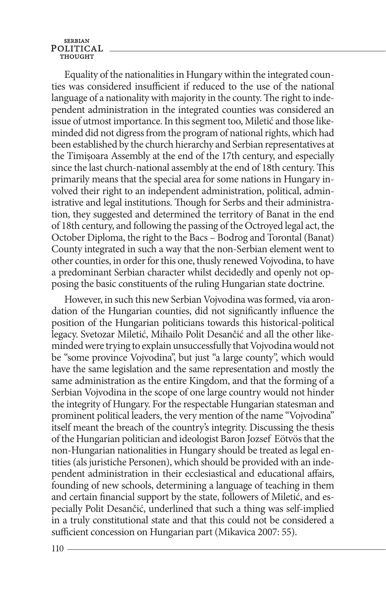Equality of the nationalities in Hungary within the integrated counties was considered insufficient if reduced to the use of the national language of a nationality with majority in the county. The right to independent administration in the integrated counties was considered an issue of utmost importance. In this segment too, Miletić and those likeminded did not digress from the program of national rights, which had been established by the church hierarchy and Serbian representatives at the Timişoara Assembly at the end of the 17th century, and especially since the last church-national assembly at the end of 18th century. This primarily means that the special area for some nations in Hungary involved their right to an independent administration, political, administrative and legal institutions. Though for Serbs and their administration, they suggested and determined the territory of Banat in the end of 18th century, and following the passing of the Octroyed legal act, the October Diploma, the right to the Bacs – Bodrog and Torontal (Banat) County integrated in such a way that the non-Serbian element went to other counties, in order for this one, thusly renewed Vojvodina, to have a predominant Serbian character whilst decidedly and openly not opposing the basic constituents of the ruling Hungarian state doctrine.

However, in such this new Serbian Vojvodina was formed, via arondation of the Hungarian counties, did not significantly influence the position of the Hungarian politicians towards this historical-political legacy. Svetozar Miletić, Mihailo Polit Desančić and all the other likeminded were trying to explain unsuccessfully that Vojvodina would not be "some province Vojvodina", but just "a large county", which would have the same legislation and the same representation and mostly the same administration as the entire Kingdom, and that the forming of a Serbian Vojvodina in the scope of one large country would not hinder the integrity of Hungary. For the respectable Hungarian statesman and prominent political leaders, the very mention of the name "Vojvodina" itself meant the breach of the country's integrity. Discussing the thesis of the Hungarian politician and ideologist Baron Jozsef Eötvös that the non-Hungarian nationalities in Hungary should be treated as legal entities (als juristiche Personen), which should be provided with an independent administration in their ecclesiastical and educational affairs, founding of new schools, determining a language of teaching in them and certain financial support by the state, followers of Miletić, and especially Polit Desančić, underlined that such a thing was self-implied in a truly constitutional state and that this could not be considered a sufficient concession on Hungarian part (Mikavica 2007: 55).

110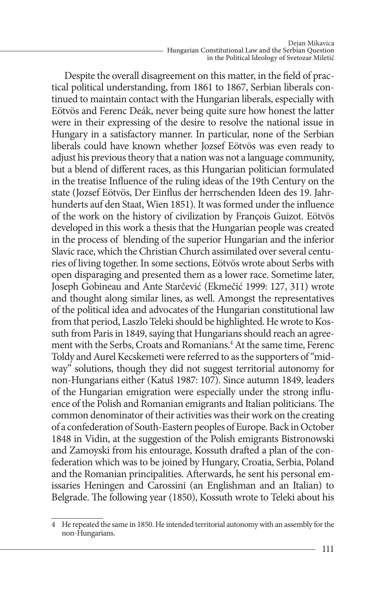Despite the overall disagreement on this matter, in the field of practical political understanding, from 1861 to 1867, Serbian liberals continued to maintain contact with the Hungarian liberals, especially with Eötvös and Ferenc Deák, never being quite sure how honest the latter were in their expressing of the desire to resolve the national issue in Hungary in a satisfactory manner. In particular, none of the Serbian liberals could have known whether Jozsef Eötvös was even ready to adjust his previous theory that a nation was not a language community, but a blend of different races, as this Hungarian politician formulated in the treatise Influence of the ruling ideas of the 19th Century on the state (Jozsef Eötvös, Der Einflus der herrschenden Ideen des 19. Jahrhunderts auf den Staat, Wien 1851). It was formed under the influence of the work on the history of civilization by François Guizot. Eötvös developed in this work a thesis that the Hungarian people was created in the process of blending of the superior Hungarian and the inferior Slavic race, which the Christian Church assimilated over several centuries of living together. In some sections, Eötvös wrote about Serbs with open disparaging and presented them as a lower race. Sometime later, Joseph Gobineau and Ante Starčević (Ekmečić 1999: 127, 311) wrote and thought along similar lines, as well. Amongst the representatives of the political idea and advocates of the Hungarian constitutional law from that period, Laszlo Teleki should be highlighted. He wrote to Kossuth from Paris in 1849, saying that Hungarians should reach an agreement with the Serbs, Croats and Romanians.<sup>4</sup> At the same time, Ferenc Toldy and Aurel Kecskemeti were referred to as the supporters of "midway" solutions, though they did not suggest territorial autonomy for non-Hungarians either (Katuš 1987: 107). Since autumn 1849, leaders of the Hungarian emigration were especially under the strong influence of the Polish and Romanian emigrants and Italian politicians. The common denominator of their activities was their work on the creating of a confederation of South-Eastern peoples of Europe. Back in October 1848 in Vidin, at the suggestion of the Polish emigrants Bistronowski and Zamoyski from his entourage, Kossuth drafted a plan of the confederation which was to be joined by Hungary, Croatia, Serbia, Poland and the Romanian principalities. Afterwards, he sent his personal emissaries Heningen and Carossini (an Englishman and an Italian) to Belgrade. The following year (1850), Kossuth wrote to Teleki about his

<sup>4</sup> He repeated the same in 1850. He intended territorial autonomy with an assembly for the non-Hungarians.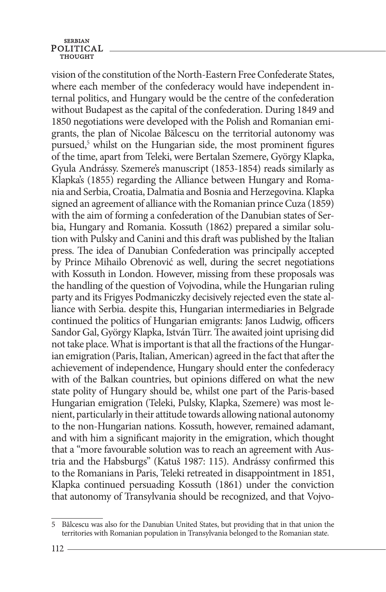vision of the constitution of the North-Eastern Free Confederate States, where each member of the confederacy would have independent internal politics, and Hungary would be the centre of the confederation without Budapest as the capital of the confederation. During 1849 and 1850 negotiations were developed with the Polish and Romanian emigrants, the plan of Nicolae Bălcescu on the territorial autonomy was pursued,<sup>5</sup> whilst on the Hungarian side, the most prominent figures of the time, apart from Teleki, were Bertalan Szemere, György Klapka, Gyula Andrássy. Szemere's manuscript (1853-1854) reads similarly as Klapka's (1855) regarding the Alliance between Hungary and Romania and Serbia, Croatia, Dalmatia and Bosnia and Herzegovina. Klapka signed an agreement of alliance with the Romanian prince Cuza (1859) with the aim of forming a confederation of the Danubian states of Serbia, Hungary and Romania. Kossuth (1862) prepared a similar solution with Pulsky and Canini and this draft was published by the Italian press. The idea of Danubian Confederation was principally accepted by Prince Mihailo Obrenović as well, during the secret negotiations with Kossuth in London. However, missing from these proposals was the handling of the question of Vojvodina, while the Hungarian ruling party and its Frigyes Podmaniczky decisively rejected even the state alliance with Serbia. despite this, Hungarian intermediaries in Belgrade continued the politics of Hungarian emigrants: Janos Ludwig, officers Sandor Gal, György Klapka, István Türr. The awaited joint uprising did not take place. What is important is that all the fractions of the Hungarian emigration (Paris, Italian, American) agreed in the fact that after the achievement of independence, Hungary should enter the confederacy with of the Balkan countries, but opinions differed on what the new state polity of Hungary should be, whilst one part of the Paris-based Hungarian emigration (Teleki, Pulsky, Klapka, Szemere) was most lenient, particularly in their attitude towards allowing national autonomy to the non-Hungarian nations. Kossuth, however, remained adamant, and with him a significant majority in the emigration, which thought that a "more favourable solution was to reach an agreement with Austria and the Habsburgs" (Katuš 1987: 115). Andrássy confirmed this to the Romanians in Paris, Teleki retreated in disappointment in 1851, Klapka continued persuading Kossuth (1861) under the conviction that autonomy of Transylvania should be recognized, and that Vojvo-

<sup>5</sup> Bălcescu was also for the Danubian United States, but providing that in that union the territories with Romanian population in Transylvania belonged to the Romanian state.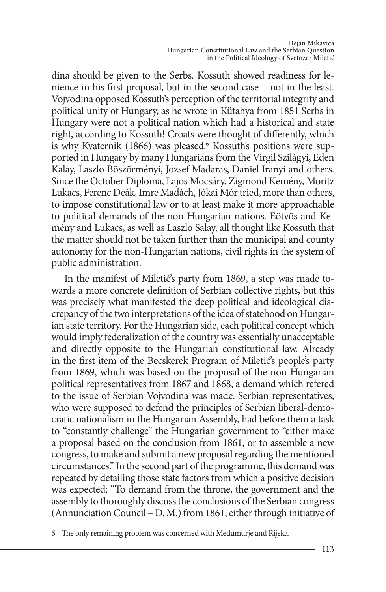dina should be given to the Serbs. Kossuth showed readiness for lenience in his first proposal, but in the second case – not in the least. Vojvodina opposed Kossuth's perception of the territorial integrity and political unity of Hungary, as he wrote in Kütahya from 1851 Serbs in Hungary were not a political nation which had a historical and state right, according to Kossuth! Croats were thought of differently, which is why Kvaternik (1866) was pleased.<sup>6</sup> Kossuth's positions were supported in Hungary by many Hungarians from the Virgil Szilágyi, Eden Kalay, Laszlo Böszörményi, Jozsef Madaras, Daniel Iranyi and others. Since the October Diploma, Lajos Mocsáry, Zigmond Kemény, Moritz Lukacs, Ferenc Deák, Imre Madách, Jókai Mór tried, more than others, to impose constitutional law or to at least make it more approachable to political demands of the non-Hungarian nations. Eötvös and Kemény and Lukacs, as well as Laszlo Salay, all thought like Kossuth that the matter should not be taken further than the municipal and county autonomy for the non-Hungarian nations, civil rights in the system of public administration.

In the manifest of Miletić's party from 1869, a step was made towards a more concrete definition of Serbian collective rights, but this was precisely what manifested the deep political and ideological discrepancy of the two interpretations of the idea of statehood on Hungarian state territory. For the Hungarian side, each political concept which would imply federalization of the country was essentially unacceptable and directly opposite to the Hungarian constitutional law. Already in the first item of the Becskerek Program of Miletić's people's party from 1869, which was based on the proposal of the non-Hungarian political representatives from 1867 and 1868, a demand which refered to the issue of Serbian Vojvodina was made. Serbian representatives, who were supposed to defend the principles of Serbian liberal-democratic nationalism in the Hungarian Assembly, had before them a task to "constantly challenge" the Hungarian government to "either make a proposal based on the conclusion from 1861, or to assemble a new congress, to make and submit a new proposal regarding the mentioned circumstances." In the second part of the programme, this demand was repeated by detailing those state factors from which a positive decision was expected: "To demand from the throne, the government and the assembly to thoroughly discuss the conclusions of the Serbian congress (Annunciation Council – D. M.) from 1861, either through initiative of

<sup>6</sup> The only remaining problem was concerned with Međumurje and Rijeka.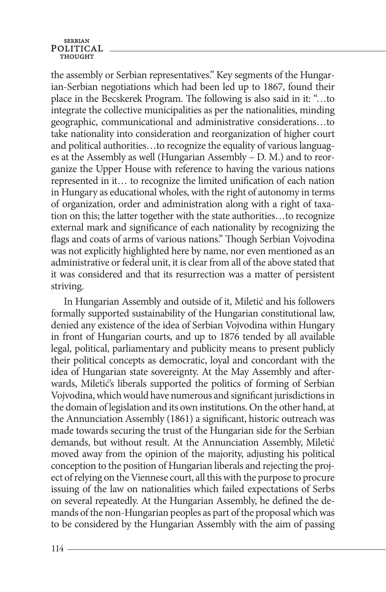the assembly or Serbian representatives." Key segments of the Hungarian-Serbian negotiations which had been led up to 1867, found their place in the Becskerek Program. The following is also said in it: "…to integrate the collective municipalities as per the nationalities, minding geographic, communicational and administrative considerations…to take nationality into consideration and reorganization of higher court and political authorities…to recognize the equality of various languages at the Assembly as well (Hungarian Assembly – D. M.) and to reorganize the Upper House with reference to having the various nations represented in it… to recognize the limited unification of each nation in Hungary as educational wholes, with the right of autonomy in terms of organization, order and administration along with a right of taxation on this; the latter together with the state authorities…to recognize external mark and significance of each nationality by recognizing the flags and coats of arms of various nations." Though Serbian Vojvodina was not explicitly highlighted here by name, nor even mentioned as an administrative or federal unit, it is clear from all of the above stated that it was considered and that its resurrection was a matter of persistent striving.

In Hungarian Assembly and outside of it, Miletić and his followers formally supported sustainability of the Hungarian constitutional law, denied any existence of the idea of Serbian Vojvodina within Hungary in front of Hungarian courts, and up to 1876 tended by all available legal, political, parliamentary and publicity means to present publicly their political concepts as democratic, loyal and concordant with the idea of Hungarian state sovereignty. At the May Assembly and afterwards, Miletić's liberals supported the politics of forming of Serbian Vojvodina, which would have numerous and significant jurisdictions in the domain of legislation and its own institutions. On the other hand, at the Annunciation Assembly (1861) a significant, historic outreach was made towards securing the trust of the Hungarian side for the Serbian demands, but without result. At the Annunciation Assembly, Miletić moved away from the opinion of the majority, adjusting his political conception to the position of Hungarian liberals and rejecting the project of relying on the Viennese court, all this with the purpose to procure issuing of the law on nationalities which failed expectations of Serbs on several repeatedly. At the Hungarian Assembly, he defined the demands of the non-Hungarian peoples as part of the proposal which was to be considered by the Hungarian Assembly with the aim of passing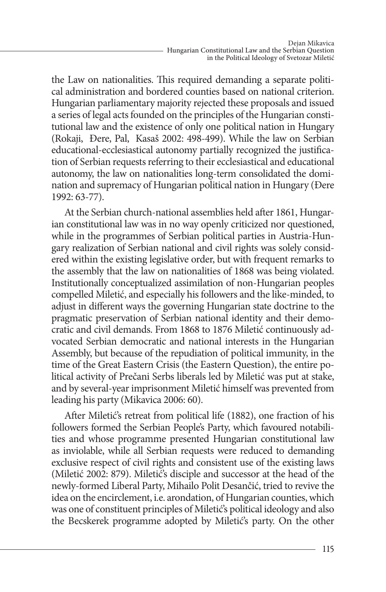the Law on nationalities. This required demanding a separate political administration and bordered counties based on national criterion. Hungarian parliamentary majority rejected these proposals and issued a series of legal acts founded on the principles of the Hungarian constitutional law and the existence of only one political nation in Hungary (Rokaji, Đere, Pal, Kasaš 2002: 498-499). While the law on Serbian educational-ecclesiastical autonomy partially recognized the justification of Serbian requests referring to their ecclesiastical and educational autonomy, the law on nationalities long-term consolidated the domination and supremacy of Hungarian political nation in Hungary (Đere 1992: 63-77).

At the Serbian church-national assemblies held after 1861, Hungarian constitutional law was in no way openly criticized nor questioned, while in the programmes of Serbian political parties in Austria-Hungary realization of Serbian national and civil rights was solely considered within the existing legislative order, but with frequent remarks to the assembly that the law on nationalities of 1868 was being violated. Institutionally conceptualized assimilation of non-Hungarian peoples compelled Miletić, and especially his followers and the like-minded, to adjust in different ways the governing Hungarian state doctrine to the pragmatic preservation of Serbian national identity and their democratic and civil demands. From 1868 to 1876 Miletić continuously advocated Serbian democratic and national interests in the Hungarian Assembly, but because of the repudiation of political immunity, in the time of the Great Eastern Crisis (the Eastern Question), the entire political activity of Prečani Serbs liberals led by Miletić was put at stake, and by several-year imprisonment Miletić himself was prevented from leading his party (Mikavica 2006: 60).

After Miletić's retreat from political life (1882), one fraction of his followers formed the Serbian People's Party, which favoured notabilities and whose programme presented Hungarian constitutional law as inviolable, while all Serbian requests were reduced to demanding exclusive respect of civil rights and consistent use of the existing laws (Miletić 2002: 879). Miletić's disciple and successor at the head of the newly-formed Liberal Party, Mihailo Polit Desančić, tried to revive the idea on the encirclement, i.e. arondation, of Hungarian counties, which was one of constituent principles of Miletić's political ideology and also the Becskerek programme adopted by Miletić's party. On the other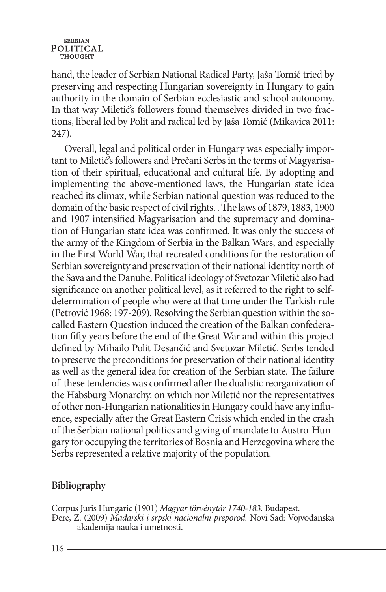hand, the leader of Serbian National Radical Party, Jaša Tomić tried by preserving and respecting Hungarian sovereignty in Hungary to gain authority in the domain of Serbian ecclesiastic and school autonomy. In that way Miletić's followers found themselves divided in two fractions, liberal led by Polit and radical led by Jaša Tomić (Mikavica 2011: 247).

Overall, legal and political order in Hungary was especially important to Miletić's followers and Prečani Serbs in the terms of Magyarisation of their spiritual, educational and cultural life. By adopting and implementing the above-mentioned laws, the Hungarian state idea reached its climax, while Serbian national question was reduced to the domain of the basic respect of civil rights. . The laws of 1879, 1883, 1900 and 1907 intensified Magyarisation and the supremacy and domination of Hungarian state idea was confirmed. It was only the success of the army of the Kingdom of Serbia in the Balkan Wars, and especially in the First World War, that recreated conditions for the restoration of Serbian sovereignty and preservation of their national identity north of the Sava and the Danube. Political ideology of Svetozar Miletić also had significance on another political level, as it referred to the right to selfdetermination of people who were at that time under the Turkish rule (Petrović 1968: 197-209). Resolving the Serbian question within the socalled Eastern Question induced the creation of the Balkan confederation fifty years before the end of the Great War and within this project defined by Mihailo Polit Desančić and Svetozar Miletić, Serbs tended to preserve the preconditions for preservation of their national identity as well as the general idea for creation of the Serbian state. The failure of these tendencies was confirmed after the dualistic reorganization of the Habsburg Monarchy, on which nor Miletić nor the representatives of other non-Hungarian nationalities in Hungary could have any influence, especially after the Great Eastern Crisis which ended in the crash of the Serbian national politics and giving of mandate to Austro-Hungary for occupying the territories of Bosnia and Herzegovina where the Serbs represented a relative majority of the population.

## **Bibliography**

Corpus Juris Hungaric (1901) *Magyar törvénytár 1740-183.* Budapest. Đere, Z. (2009) *Mađarski i srpski nacionalni preporod.* Novi Sad: Vojvođanska akademija nauka i umetnosti.

 $116 -$